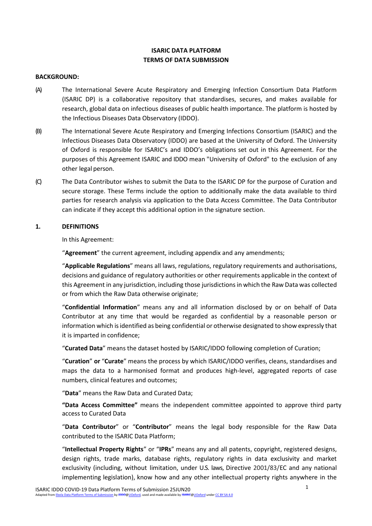# **ISARIC DATA PLATFORM TERMS OF DATA SUBMISSION**

#### **BACKGROUND:**

- (A) The International Severe Acute Respiratory and Emerging Infection Consortium Data Platform (ISARIC DP) is a collaborative repository that standardises, secures, and makes available for research, global data on infectious diseases of public health importance. The platform is hosted by the Infectious Diseases Data Observatory (IDDO).
- (B) The International Severe Acute Respiratory and Emerging Infections Consortium (ISARIC) and the Infectious Diseases Data Observatory (IDDO) are based at the University of Oxford. The University of Oxford is responsible for ISARIC's and IDDO's obligations set out in this Agreement. For the purposes of this Agreement ISARIC and IDDO mean "University of Oxford" to the exclusion of any other legal person.
- (C) The Data Contributor wishes to submit the Data to the ISARIC DP for the purpose of Curation and secure storage. These Terms include the option to additionally make the data available to third parties for research analysis via application to the Data Access Committee. The Data Contributor can indicate if they accept this additional option in the signature section.

### <span id="page-0-0"></span>**1. DEFINITIONS**

In this Agreement:

"**Agreement**" the current agreement, including appendix and any amendments;

"**Applicable Regulations**" means all laws, regulations, regulatory requirements and authorisations, decisions and guidance of regulatory authorities or other requirements applicable in the context of this Agreement in any jurisdiction, including those jurisdictionsin which the Raw Data was collected or from which the Raw Data otherwise originate;

"**Confidential Information**" means any and all information disclosed by or on behalf of Data Contributor at any time that would be regarded as confidential by a reasonable person or information which isidentified as being confidential or otherwise designated to show expressly that it is imparted in confidence;

"**Curated Data**" means the dataset hosted by ISARIC/IDDO following completion of Curation;

"**Curation**" **or** "**Curate**" means the process by which ISARIC/IDDO verifies, cleans, standardises and maps the data to a harmonised format and produces high-level, aggregated reports of case numbers, clinical features and outcomes;

"**Data**" means the Raw Data and Curated Data;

**"Data Access Committee"** means the independent committee appointed to approve third party access to Curated Data

"**Data Contributor**" or "**Contributor**" means the legal body responsible for the Raw Data contributed to the ISARIC Data Platform;

"**Intellectual Property Rights**" or "**IPRs**" means any and all patents, copyright, registered designs, design rights, trade marks, database rights, regulatory rights in data exclusivity and market exclusivity (including, without limitation, under U.S. laws, Directive 2001/83/EC and any national implementing legislation), know how and any other intellectual property rights anywhere in the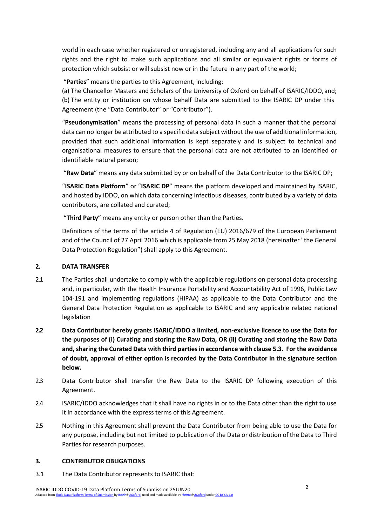world in each case whether registered or unregistered, including any and all applications for such rights and the right to make such applications and all similar or equivalent rights or forms of protection which subsist or will subsist now or in the future in any part of the world;

"**Parties**" means the parties to this Agreement, including:

(a) The Chancellor Masters and Scholars of the University of Oxford on behalf of ISARIC/IDDO,and; (b) The entity or institution on whose behalf Data are submitted to the ISARIC DP under this Agreement (the "Data Contributor" or "Contributor").

"**Pseudonymisation**" means the processing of personal data in such a manner that the personal data can no longer be attributed to a specific data subject without the use of additional information, provided that such additional information is kept separately and is subject to technical and organisational measures to ensure that the personal data are not attributed to an identified or identifiable natural person;

"**Raw Data**" means any data submitted by or on behalf of the Data Contributor to the ISARIC DP;

"**ISARIC Data Platform**" or "**ISARIC DP**" means the platform developed and maintained by ISARIC, and hosted by IDDO, on which data concerning infectious diseases, contributed by a variety of data contributors, are collated and curated;

"**Third Party**" means any entity or person other than the Parties.

Definitions of the terms of the article 4 of Regulation (EU) 2016/679 of the European Parliament and of the Council of 27 April 2016 which is applicable from 25 May 2018 (hereinafter "the General Data Protection Regulation") shall apply to this Agreement.

# **2. DATA TRANSFER**

- 2.1 The Parties shall undertake to comply with the applicable regulations on personal data processing and, in particular, with the Health Insurance Portability and Accountability Act of 1996, Public Law 104-191 and implementing regulations (HIPAA) as applicable to the Data Contributor and the General Data Protection Regulation as applicable to ISARIC and any applicable related national legislation
- **2.2 Data Contributor hereby grants ISARIC/IDDO a limited, non-exclusive licence to use the Data for the purposes of (i) Curating and storing the Raw Data, OR (ii) Curating and storing the Raw Data and, sharing the Curated Data with third parties in accordance with clause 5.3. For the avoidance of doubt, approval of either option is recorded by the Data Contributor in the signature section below.**
- 2.3 Data Contributor shall transfer the Raw Data to the ISARIC DP following execution of this Agreement.
- 2.4 ISARIC/IDDO acknowledges that it shall have no rights in or to the Data other than the right to use it in accordance with the express terms of this Agreement.
- 2.5 Nothing in this Agreement shall prevent the Data Contributor from being able to use the Data for any purpose, including but not limited to publication of the Data or distribution of the Data to Third Parties for research purposes.

## **3. CONTRIBUTOR OBLIGATIONS**

3.1 The Data Contributor represents to ISARIC that: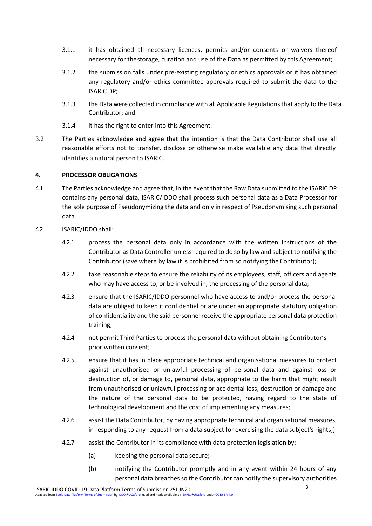- 3.1.1 it has obtained all necessary licences, permits and/or consents or waivers thereof necessary for thestorage, curation and use of the Data as permitted by this Agreement;
- 3.1.2 the submission falls under pre-existing regulatory or ethics approvals or it has obtained any regulatory and/or ethics committee approvals required to submit the data to the ISARIC DP;
- 3.1.3 the Data were collected in compliance with all Applicable Regulationsthat apply to the Data Contributor; and
- 3.1.4 it has the right to enter into this Agreement.
- <span id="page-2-0"></span>3.2 The Parties acknowledge and agree that the intention is that the Data Contributor shall use all reasonable efforts not to transfer, disclose or otherwise make available any data that directly identifies a natural person to ISARIC.

## **4. PROCESSOR OBLIGATIONS**

- 4.1 The Parties acknowledge and agree that, in the event that the Raw Data submitted to the ISARIC DP contains any personal data, ISARIC/IDDO shall process such personal data as a Data Processor for the sole purpose of Pseudonymizing the data and only in respect of Pseudonymising such personal data.
- 4.2 ISARIC/IDDO shall:
	- 4.2.1 process the personal data only in accordance with the written instructions of the Contributor as Data Controller unless required to do so by law and subject to notifying the Contributor (save where by law it is prohibited from so notifying the Contributor);
	- 4.2.2 take reasonable steps to ensure the reliability of its employees, staff, officers and agents who may have access to, or be involved in, the processing of the personal data;
	- 4.2.3 ensure that the ISARIC/IDDO personnel who have access to and/or process the personal data are obliged to keep it confidential or are under an appropriate statutory obligation of confidentiality and the said personnel receive the appropriate personal data protection training;
	- 4.2.4 not permit Third Parties to process the personal data without obtaining Contributor's prior written consent;
	- 4.2.5 ensure that it has in place appropriate technical and organisational measures to protect against unauthorised or unlawful processing of personal data and against loss or destruction of, or damage to, personal data, appropriate to the harm that might result from unauthorised or unlawful processing or accidental loss, destruction or damage and the nature of the personal data to be protected, having regard to the state of technological development and the cost of implementing any measures;
	- 4.2.6 assist the Data Contributor, by having appropriate technical and organisational measures, in responding to any request from a data subject for exercising the data subject's rights;).
	- 4.2.7 assist the Contributor in its compliance with data protection legislation by:
		- (a) keeping the personal data secure;
		- (b) notifying the Contributor promptly and in any event within 24 hours of any personal data breaches so the Contributor can notify the supervisory authorities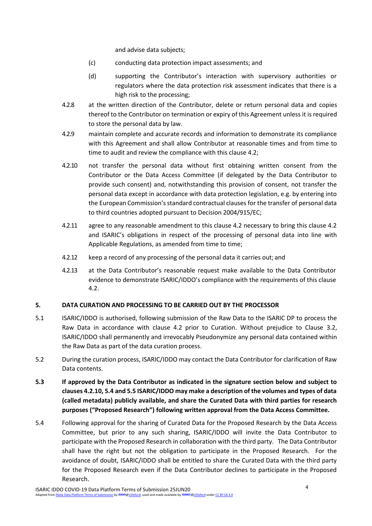and advise data subjects;

- (c) conducting data protection impact assessments; and
- (d) supporting the Contributor's interaction with supervisory authorities or regulators where the data protection risk assessment indicates that there is a high risk to the processing;
- 4.2.8 at the written direction of the Contributor, delete or return personal data and copies thereof to the Contributor on termination or expiry of this Agreement unless it is required to store the personal data by law.
- 4.2.9 maintain complete and accurate records and information to demonstrate its compliance with this Agreement and shall allow Contributor at reasonable times and from time to time to audit and review the compliance with this clause 4.2;
- 4.2.10 not transfer the personal data without first obtaining written consent from the Contributor or the Data Access Committee (if delegated by the Data Contributor to provide such consent) and, notwithstanding this provision of consent, not transfer the personal data except in accordance with data protection legislation, e.g. by entering into the European Commission'sstandard contractual clauses for the transfer of personal data to third countries adopted pursuant to Decision 2004/915/EC;
- 4.2.11 agree to any reasonable amendment to this clause 4.2 necessary to bring this clause 4.2 and ISARIC's obligations in respect of the processing of personal data into line with Applicable Regulations, as amended from time to time;
- 4.2.12 keep a record of any processing of the personal data it carries out; and
- 4.2.13 at the Data Contributor's reasonable request make available to the Data Contributor evidence to demonstrate ISARIC/IDDO's compliance with the requirements of this clause 4.2.

# **5. DATA CURATION AND PROCESSING TO BE CARRIED OUT BY THE PROCESSOR**

- 5.1 ISARIC/IDDO is authorised, following submission of the Raw Data to the ISARIC DP to process the Raw Data in accordance with clause 4.2 prior to Curation. Without prejudice to Clause [3.2,](#page-2-0)  ISARIC/IDDO shall permanently and irrevocably Pseudonymize any personal data contained within the Raw Data as part of the data curation process.
- 5.2 During the curation process, ISARIC/IDDO may contact the Data Contributor for clarification of Raw Data contents.
- **5.3 If approved by the Data Contributor as indicated in the signature section below and subject to clauses 4.2.10, 5.4 and 5.5 ISARIC/IDDO may make a description of the volumes and types of data (called metadata) publicly available, and share the Curated Data with third parties for research purposes ("Proposed Research") following written approval from the Data Access Committee.**
- 5.4 Following approval for the sharing of Curated Data for the Proposed Research by the Data Access Committee, but prior to any such sharing, ISARIC/IDDO will invite the Data Contributor to participate with the Proposed Research in collaboration with the third party. The Data Contributor shall have the right but not the obligation to participate in the Proposed Research. For the avoidance of doubt, ISARIC/IDDO shall be entitled to share the Curated Data with the third party for the Proposed Research even if the Data Contributor declines to participate in the Proposed Research.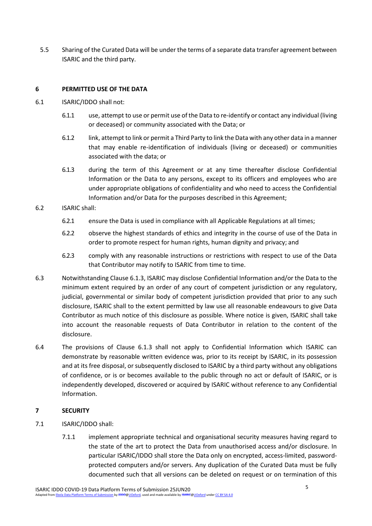5.5 Sharing of the Curated Data will be under the terms of a separate data transfer agreement between ISARIC and the third party.

### **6 PERMITTED USE OF THE DATA**

- <span id="page-4-1"></span>6.1 ISARIC/IDDO shall not:
	- 6.1.1 use, attempt to use or permit use of the Data to re-identify or contact any individual (living or deceased) or community associated with the Data; or
	- 6.1.2 link, attempt to link or permit a Third Party to link the Data with any other data in a manner that may enable re-identification of individuals (living or deceased) or communities associated with the data; or
	- 6.1.3 during the term of this Agreement or at any time thereafter disclose Confidential Information or the Data to any persons, except to its officers and employees who are under appropriate obligations of confidentiality and who need to access the Confidential Information and/or Data for the purposes described in this Agreement;
- <span id="page-4-0"></span>6.2 ISARIC shall:
	- 6.2.1 ensure the Data is used in compliance with all Applicable Regulations at all times;
	- 6.2.2 observe the highest standards of ethics and integrity in the course of use of the Data in order to promote respect for human rights, human dignity and privacy; and
	- 6.2.3 comply with any reasonable instructions or restrictions with respect to use of the Data that Contributor may notify to ISARIC from time to time.
- 6.3 Notwithstanding Clause [6.1.3,](#page-4-0) ISARIC may disclose Confidential Information and/or the Data to the minimum extent required by an order of any court of competent jurisdiction or any regulatory, judicial, governmental or similar body of competent jurisdiction provided that prior to any such disclosure, ISARIC shall to the extent permitted by law use all reasonable endeavours to give Data Contributor as much notice of this disclosure as possible. Where notice is given, ISARIC shall take into account the reasonable requests of Data Contributor in relation to the content of the disclosure.
- 6.4 The provisions of Clause [6.1.3](#page-4-0) shall not apply to Confidential Information which ISARIC can demonstrate by reasonable written evidence was, prior to its receipt by ISARIC, in its possession and at its free disposal, orsubsequently disclosed to ISARIC by a third party without any obligations of confidence, or is or becomes available to the public through no act or default of ISARIC, or is independently developed, discovered or acquired by ISARIC without reference to any Confidential Information.

## **7 SECURITY**

- 7.1 ISARIC/IDDO shall:
	- 7.1.1 implement appropriate technical and organisational security measures having regard to the state of the art to protect the Data from unauthorised access and/or disclosure. In particular ISARIC/IDDO shall store the Data only on encrypted, access-limited, passwordprotected computers and/or servers. Any duplication of the Curated Data must be fully documented such that all versions can be deleted on request or on termination of this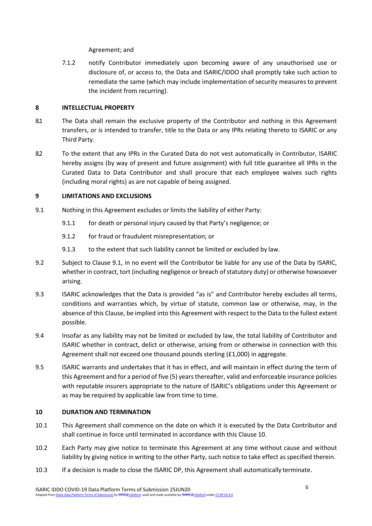Agreement; and

7.1.2 notify Contributor immediately upon becoming aware of any unauthorised use or disclosure of, or access to, the Data and ISARIC/IDDO shall promptly take such action to remediate the same (which may include implementation of security measures to prevent the incident from recurring).

## **8 INTELLECTUAL PROPERTY**

- 8.1 The Data shall remain the exclusive property of the Contributor and nothing in this Agreement transfers, or is intended to transfer, title to the Data or any IPRs relating thereto to ISARIC or any Third Party.
- 8.2 To the extent that any IPRs in the Curated Data do not vest automatically in Contributor, ISARIC hereby assigns (by way of present and future assignment) with full title guarantee all IPRs in the Curated Data to Data Contributor and shall procure that each employee waives such rights (including moral rights) as are not capable of being assigned.

### **9 LIMITATIONS AND EXCLUSIONS**

- <span id="page-5-0"></span>9.1 Nothing in this Agreement excludes or limits the liability of either Party:
	- 9.1.1 for death or personal injury caused by that Party's negligence; or
	- 9.1.2 for fraud or fraudulent misrepresentation; or
	- 9.1.3 to the extent that such liability cannot be limited or excluded by law.
- 9.2 Subject to Clause [9.1, i](#page-5-0)n no event will the Contributor be liable for any use of the Data by ISARIC, whether in contract, tort (including negligence or breach of statutory duty) or otherwise howsoever arising.
- 9.3 ISARIC acknowledges that the Data is provided "as is" and Contributor hereby excludes all terms, conditions and warranties which, by virtue of statute, common law or otherwise, may, in the absence of this Clause, be implied into this Agreement with respect to the Data to the fullest extent possible.
- 9.4 Insofar as any liability may not be limited or excluded by law, the total liability of Contributor and ISARIC whether in contract, delict or otherwise, arising from or otherwise in connection with this Agreement shall not exceed one thousand pounds sterling (£1,000) in aggregate.
- 9.5 ISARIC warrants and undertakes that it has in effect, and will maintain in effect during the term of this Agreement and for a period of five (5) years thereafter, valid and enforceable insurance policies with reputable insurers appropriate to the nature of ISARIC's obligations under this Agreement or as may be required by applicable law from time to time.

## **10 DURATION AND TERMINATION**

- 10.1 This Agreement shall commence on the date on which it is executed by the Data Contributor and shall continue in force until terminated in accordance with this Clause 10.
- 10.2 Each Party may give notice to terminate this Agreement at any time without cause and without liability by giving notice in writing to the other Party, such notice to take effect as specified therein.
- 10.3 If a decision is made to close the ISARIC DP, this Agreement shall automatically terminate.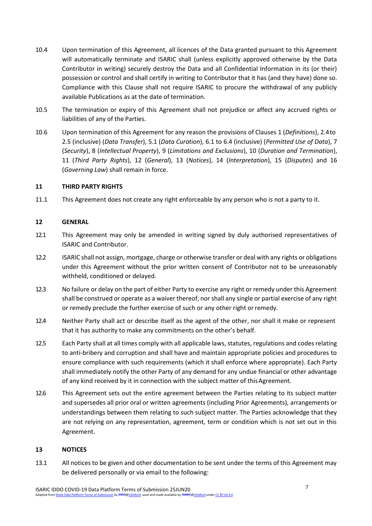- 10.4 Upon termination of this Agreement, all licences of the Data granted pursuant to this Agreement will automatically terminate and ISARIC shall (unless explicitly approved otherwise by the Data Contributor in writing) securely destroy the Data and all Confidential Information in its (or their) possession or control and shall certify in writing to Contributor that it has (and they have) done so. Compliance with this Clause shall not require ISARIC to procure the withdrawal of any publicly available Publications as at the date of termination.
- 10.5 The termination or expiry of this Agreement shall not prejudice or affect any accrued rights or liabilities of any of the Parties.
- 10.6 Upon termination of this Agreement for any reason the provisions of Clauses [1 \(](#page-0-0)*Definitions*), 2.4to 2.5 (inclusive) (*Data Transfer*), 5.1 (*Data Curation*), [6.1 t](#page-4-1)o 6.4 (inclusive) (*Permitted Use of Data*), 7 (*Security*), 8 (*Intellectual Property*), 9 (*Limitations and Exclusions*), 10 (*Duration and Termination*), 11 (*Third Party Rights*), 12 (*General*), 13 (*Notices*), 14 (*Interpretation*), 15 (*Disputes*) and 16 (*Governing Law*) shall remain in force.

#### **11 THIRD PARTY RIGHTS**

11.1 This Agreement does not create any right enforceable by any person who is not a party to it.

#### **12 GENERAL**

- 12.1 This Agreement may only be amended in writing signed by duly authorised representatives of ISARIC and Contributor.
- 12.2 ISARIC shall not assign, mortgage, charge or otherwise transfer or deal with any rights or obligations under this Agreement without the prior written consent of Contributor not to be unreasonably withheld, conditioned or delayed.
- 12.3 No failure or delay on the part of either Party to exercise any right or remedy under this Agreement shall be construed or operate as a waiver thereof, nor shall any single or partial exercise of any right or remedy preclude the further exercise of such or any other right orremedy.
- 12.4 Neither Party shall act or describe itself as the agent of the other, nor shall it make or represent that it has authority to make any commitments on the other's behalf.
- 12.5 Each Party shall at all times comply with all applicable laws, statutes, regulations and codes relating to anti-bribery and corruption and shall have and maintain appropriate policies and procedures to ensure compliance with such requirements (which it shall enforce where appropriate). Each Party shall immediately notify the other Party of any demand for any undue financial or other advantage of any kind received by it in connection with the subject matter of thisAgreement.
- 12.6 This Agreement sets out the entire agreement between the Parties relating to its subject matter and supersedes all prior oral or written agreements (including Prior Agreements), arrangements or understandings between them relating to such subject matter. The Parties acknowledge that they are not relying on any representation, agreement, term or condition which is not set out in this Agreement.

#### **13 NOTICES**

13.1 All notices to be given and other documentation to be sent under the terms of this Agreement may be delivered personally or via email to the following: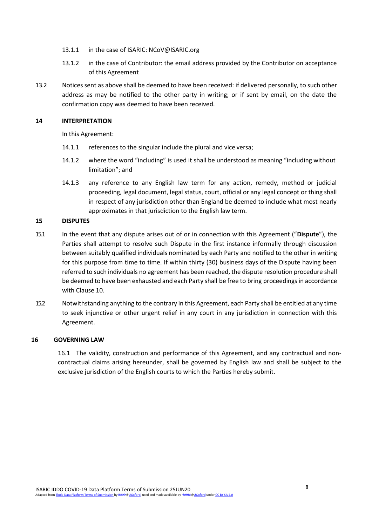- 13.1.1 in the case of ISARIC: [NCoV@ISARIC.org](mailto:NCoV@ISARIC.org)
- 13.1.2 in the case of Contributor: the email address provided by the Contributor on acceptance of this Agreement
- 13.2 Notices sent as above shall be deemed to have been received: if delivered personally, to such other address as may be notified to the other party in writing; or if sent by email, on the date the confirmation copy was deemed to have been received.

#### **14 INTERPRETATION**

In this Agreement:

- 14.1.1 references to the singular include the plural and vice versa;
- 14.1.2 where the word "including" is used it shall be understood as meaning "including without limitation"; and
- 14.1.3 any reference to any English law term for any action, remedy, method or judicial proceeding, legal document, legal status, court, official or any legal concept or thing shall in respect of any jurisdiction other than England be deemed to include what most nearly approximates in that jurisdiction to the English law term.

#### **15 DISPUTES**

- 15.1 In the event that any dispute arises out of or in connection with this Agreement ("**Dispute**"), the Parties shall attempt to resolve such Dispute in the first instance informally through discussion between suitably qualified individuals nominated by each Party and notified to the other in writing for this purpose from time to time. If within thirty (30) business days of the Dispute having been referred to such individuals no agreement has been reached, the dispute resolution procedure shall be deemed to have been exhausted and each Party shall be free to bring proceedings in accordance with Clause 10.
- 15.2 Notwithstanding anything to the contrary in this Agreement, each Party shall be entitled at any time to seek injunctive or other urgent relief in any court in any jurisdiction in connection with this Agreement.

#### **16 GOVERNING LAW**

16.1 The validity, construction and performance of this Agreement, and any contractual and noncontractual claims arising hereunder, shall be governed by English law and shall be subject to the exclusive jurisdiction of the English courts to which the Parties hereby submit.